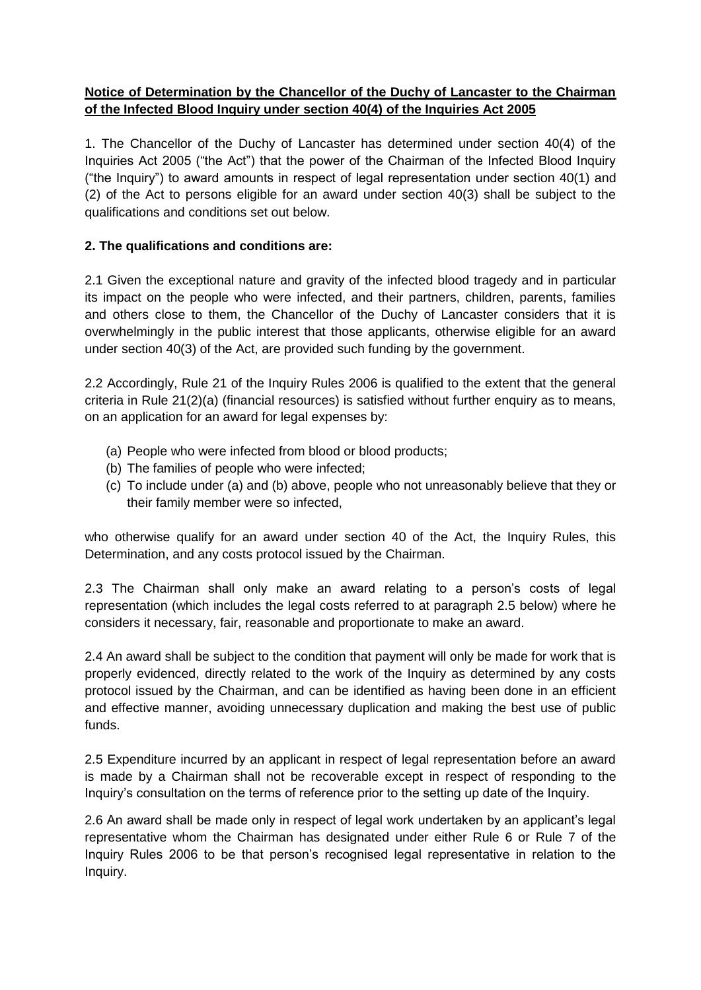# **Notice of Determination by the Chancellor of the Duchy of Lancaster to the Chairman of the Infected Blood Inquiry under section 40(4) of the Inquiries Act 2005**

1. The Chancellor of the Duchy of Lancaster has determined under section 40(4) of the Inquiries Act 2005 ("the Act") that the power of the Chairman of the Infected Blood Inquiry ("the Inquiry") to award amounts in respect of legal representation under section 40(1) and (2) of the Act to persons eligible for an award under section 40(3) shall be subject to the qualifications and conditions set out below.

## **2. The qualifications and conditions are:**

2.1 Given the exceptional nature and gravity of the infected blood tragedy and in particular its impact on the people who were infected, and their partners, children, parents, families and others close to them, the Chancellor of the Duchy of Lancaster considers that it is overwhelmingly in the public interest that those applicants, otherwise eligible for an award under section 40(3) of the Act, are provided such funding by the government.

2.2 Accordingly, Rule 21 of the Inquiry Rules 2006 is qualified to the extent that the general criteria in Rule 21(2)(a) (financial resources) is satisfied without further enquiry as to means, on an application for an award for legal expenses by:

- (a) People who were infected from blood or blood products;
- (b) The families of people who were infected;
- (c) To include under (a) and (b) above, people who not unreasonably believe that they or their family member were so infected,

who otherwise qualify for an award under section 40 of the Act, the Inquiry Rules, this Determination, and any costs protocol issued by the Chairman.

2.3 The Chairman shall only make an award relating to a person's costs of legal representation (which includes the legal costs referred to at paragraph 2.5 below) where he considers it necessary, fair, reasonable and proportionate to make an award.

2.4 An award shall be subject to the condition that payment will only be made for work that is properly evidenced, directly related to the work of the Inquiry as determined by any costs protocol issued by the Chairman, and can be identified as having been done in an efficient and effective manner, avoiding unnecessary duplication and making the best use of public funds.

2.5 Expenditure incurred by an applicant in respect of legal representation before an award is made by a Chairman shall not be recoverable except in respect of responding to the Inquiry's consultation on the terms of reference prior to the setting up date of the Inquiry.

2.6 An award shall be made only in respect of legal work undertaken by an applicant's legal representative whom the Chairman has designated under either Rule 6 or Rule 7 of the Inquiry Rules 2006 to be that person's recognised legal representative in relation to the Inquiry.